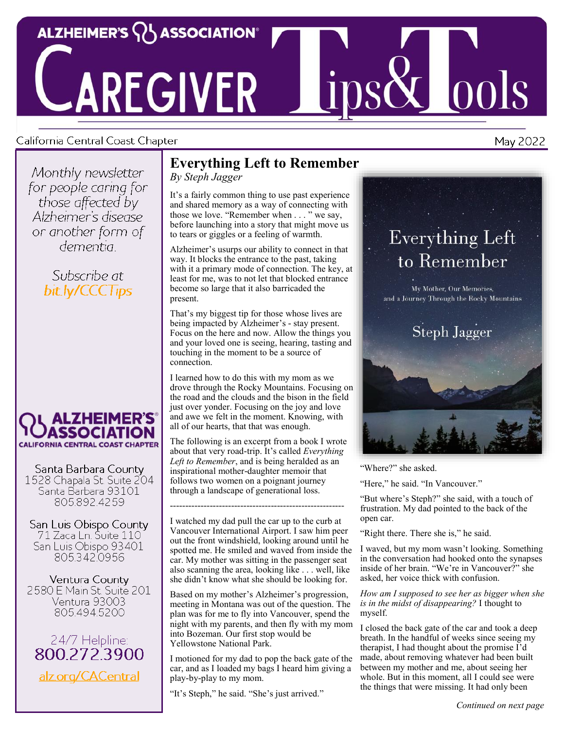

# **AREGIVER**

#### California Central Coast Chapter

Monthly newsletter for people caring for those affected by Alzheimer's disease or another form of dementia :

> Subscribe at bit.ly/CCCTips



Santa Barbara County 1528 Chapala St. Suite 204 Santa Barbara 93101 805.892.4259

San Luis Obispo County 71 Zaca Ln. Suite 110 San Luis Obispo 93401 805.342,0956

Ventura County 2580 E Main St. Suite 201 Ventura 93003 805.494.5200



## **Everything Left to Remember**

*By Steph Jagger*

It's a fairly common thing to use past experience and shared memory as a way of connecting with those we love. "Remember when . . . " we say, before launching into a story that might move us to tears or giggles or a feeling of warmth.

Alzheimer's usurps our ability to connect in that way. It blocks the entrance to the past, taking with it a primary mode of connection. The key, at least for me, was to not let that blocked entrance become so large that it also barricaded the present.

That's my biggest tip for those whose lives are being impacted by Alzheimer's - stay present. Focus on the here and now. Allow the things you and your loved one is seeing, hearing, tasting and touching in the moment to be a source of connection.

I learned how to do this with my mom as we drove through the Rocky Mountains. Focusing on the road and the clouds and the bison in the field just over yonder. Focusing on the joy and love and awe we felt in the moment. Knowing, with all of our hearts, that that was enough.

The following is an excerpt from a book I wrote about that very road-trip. It's called *Everything Left to Remember*, and is being heralded as an inspirational mother-daughter memoir that follows two women on a poignant journey through a landscape of generational loss.

*---------------------------------------------------------*

I watched my dad pull the car up to the curb at Vancouver International Airport. I saw him peer out the front windshield, looking around until he spotted me. He smiled and waved from inside the car. My mother was sitting in the passenger seat also scanning the area, looking like . . . well, like she didn't know what she should be looking for.

Based on my mother's Alzheimer's progression, meeting in Montana was out of the question. The plan was for me to fly into Vancouver, spend the night with my parents, and then fly with my mom into Bozeman. Our first stop would be Yellowstone National Park.

I motioned for my dad to pop the back gate of the car, and as I loaded my bags I heard him giving a play-by-play to my mom.

"It's Steph," he said. "She's just arrived."



 $\boxed{00}$ 



"Where?" she asked.

"Here," he said. "In Vancouver."

"But where's Steph?" she said, with a touch of frustration. My dad pointed to the back of the open car.

"Right there. There she is," he said.

I waved, but my mom wasn't looking. Something in the conversation had hooked onto the synapses inside of her brain. "We're in Vancouver?" she asked, her voice thick with confusion.

*How am I supposed to see her as bigger when she is in the midst of disappearing?* I thought to myself.

I closed the back gate of the car and took a deep breath. In the handful of weeks since seeing my therapist, I had thought about the promise I'd made, about removing whatever had been built between my mother and me, about seeing her whole. But in this moment, all I could see were the things that were missing. It had only been

May 2022